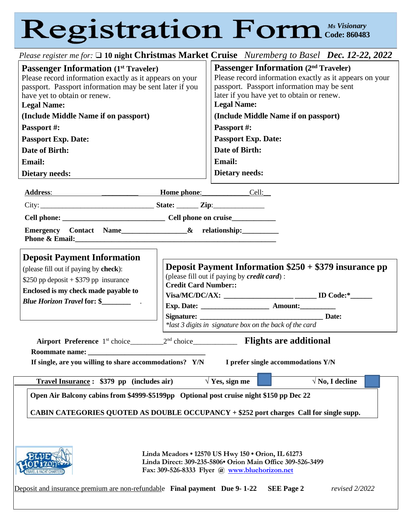## *Ms Visionary* **Code: 860483**

| Please register me for: □ 10 night Christmas Market Cruise Nuremberg to Basel Dec. 12-22, 2022                                                                                                                                                                                                                                             |                             |                                                                                                                                                                                                                                                                                                                                |
|--------------------------------------------------------------------------------------------------------------------------------------------------------------------------------------------------------------------------------------------------------------------------------------------------------------------------------------------|-----------------------------|--------------------------------------------------------------------------------------------------------------------------------------------------------------------------------------------------------------------------------------------------------------------------------------------------------------------------------|
| <b>Passenger Information</b> (1 <sup>st</sup> Traveler)<br>Please record information exactly as it appears on your<br>passport. Passport information may be sent later if you<br>have yet to obtain or renew.<br><b>Legal Name:</b><br>(Include Middle Name if on passport)<br>Passport #:<br><b>Passport Exp. Date:</b><br>Date of Birth: |                             | <b>Passenger Information (2nd Traveler)</b><br>Please record information exactly as it appears on your<br>passport. Passport information may be sent<br>later if you have yet to obtain or renew.<br><b>Legal Name:</b><br>(Include Middle Name if on passport)<br>Passport #:<br><b>Passport Exp. Date:</b><br>Date of Birth: |
| Email:                                                                                                                                                                                                                                                                                                                                     |                             | <b>Email:</b>                                                                                                                                                                                                                                                                                                                  |
| <b>Dietary needs:</b>                                                                                                                                                                                                                                                                                                                      |                             | <b>Dietary needs:</b>                                                                                                                                                                                                                                                                                                          |
| Address: Cell:                                                                                                                                                                                                                                                                                                                             |                             |                                                                                                                                                                                                                                                                                                                                |
|                                                                                                                                                                                                                                                                                                                                            |                             |                                                                                                                                                                                                                                                                                                                                |
|                                                                                                                                                                                                                                                                                                                                            |                             |                                                                                                                                                                                                                                                                                                                                |
| Emergency Contact Name_________________& relationship:___________________________                                                                                                                                                                                                                                                          |                             |                                                                                                                                                                                                                                                                                                                                |
| <b>Deposit Payment Information</b><br>(please fill out if paying by check):<br>\$250 pp deposit $+$ \$379 pp insurance<br>Enclosed is my check made payable to                                                                                                                                                                             | <b>Credit Card Number::</b> | <b>Deposit Payment Information <math>\$250 + \$379</math> insurance pp</b><br>(please fill out if paying by credit card):<br>Visa/MC/DC/AX: _____________________________ ID Code:*______<br>*last 3 digits in signature box on the back of the card                                                                           |
| 2 <sup>nd</sup> choice________________ <b>Flights are additional</b><br>Airport Preference 1 <sup>st</sup> choice_______<br>Roommate name:<br>If single, are you willing to share accommodations? Y/N<br>I prefer single accommodations Y/N                                                                                                |                             |                                                                                                                                                                                                                                                                                                                                |
| $\sqrt{Y}$ es, sign me<br>$\sqrt{N_0}$ , I decline<br>Travel Insurance: \$379 pp (includes air)                                                                                                                                                                                                                                            |                             |                                                                                                                                                                                                                                                                                                                                |
| Open Air Balcony cabins from \$4999-\$5199pp Optional post cruise night \$150 pp Dec 22<br>CABIN CATEGORIES QUOTED AS DOUBLE OCCUPANCY + \$252 port charges Call for single supp.                                                                                                                                                          |                             |                                                                                                                                                                                                                                                                                                                                |
| Linda Meadors . 12570 US Hwy 150 . Orion, IL 61273<br>Linda Direct: 309-235-5806• Orion Main Office 309-526-3499<br>Fax: 309-526-8333 Flyer @ www.bluehorizon.net<br>Deposit and insurance premium are non-refundable Final payment Due 9-1-22<br><b>SEE Page 2</b><br>revised 2/2022                                                      |                             |                                                                                                                                                                                                                                                                                                                                |
|                                                                                                                                                                                                                                                                                                                                            |                             |                                                                                                                                                                                                                                                                                                                                |